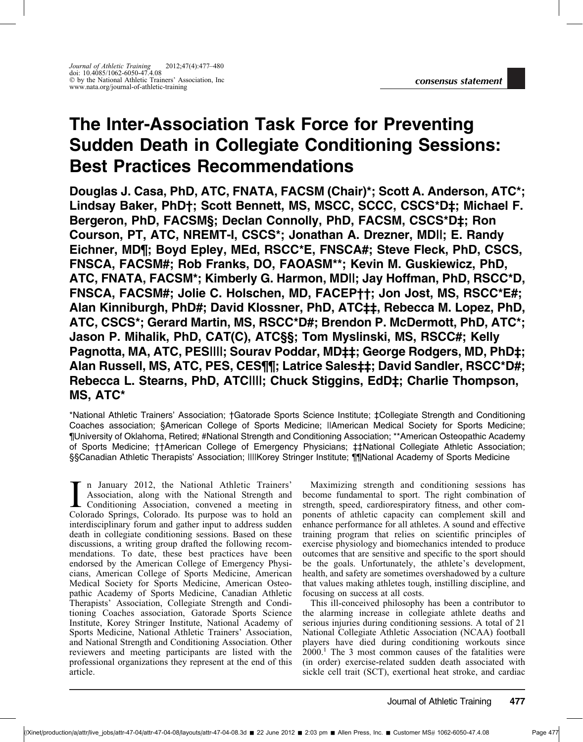# The Inter-Association Task Force for Preventing Sudden Death in Collegiate Conditioning Sessions: Best Practices Recommendations

Douglas J. Casa, PhD, ATC, FNATA, FACSM (Chair)\*; Scott A. Anderson, ATC\*; Lindsay Baker, PhD†; Scott Bennett, MS, MSCC, SCCC, CSCS\*D‡; Michael F. Bergeron, PhD, FACSM§; Declan Connolly, PhD, FACSM, CSCS\*D‡; Ron Courson, PT, ATC, NREMT-I, CSCS\*; Jonathan A. Drezner, MD||; E. Randy Eichner, MD¶; Boyd Epley, MEd, RSCC\*E, FNSCA#; Steve Fleck, PhD, CSCS, FNSCA, FACSM#; Rob Franks, DO, FAOASM\*\*; Kevin M. Guskiewicz, PhD, ATC, FNATA, FACSM\*; Kimberly G. Harmon, MD||; Jay Hoffman, PhD, RSCC\*D, FNSCA, FACSM#; Jolie C. Holschen, MD, FACEP††; Jon Jost, MS, RSCC\*E#; Alan Kinniburgh, PhD#; David Klossner, PhD, ATC‡‡, Rebecca M. Lopez, PhD, ATC, CSCS\*; Gerard Martin, MS, RSCC\*D#; Brendon P. McDermott, PhD, ATC\*; Jason P. Mihalik, PhD, CAT(C), ATC§§; Tom Myslinski, MS, RSCC#; Kelly Pagnotta, MA, ATC, PES||||; Sourav Poddar, MD‡‡; George Rodgers, MD, PhD‡; Alan Russell, MS, ATC, PES, CES¶¶; Latrice Sales‡‡; David Sandler, RSCC\*D#; Rebecca L. Stearns, PhD, ATC||||; Chuck Stiggins, EdD‡; Charlie Thompson, MS, ATC\*

\*National Athletic Trainers' Association; †Gatorade Sports Science Institute; ‡Collegiate Strength and Conditioning Coaches association; §American College of Sports Medicine; ||American Medical Society for Sports Medicine; ¶University of Oklahoma, Retired; #National Strength and Conditioning Association; \*\*American Osteopathic Academy of Sports Medicine; ††American College of Emergency Physicians; ‡‡National Collegiate Athletic Association; §§Canadian Athletic Therapists' Association; IIIIKorey Stringer Institute; ¶¶National Academy of Sports Medicine

In January 2012, the National Athletic Trainers'<br>Association, along with the National Strength and<br>Conditioning Association, convened a meeting in<br>Colorado Springs, Colorado. Its purpose was to hold an n January 2012, the National Athletic Trainers' Association, along with the National Strength and Conditioning Association, convened a meeting in interdisciplinary forum and gather input to address sudden death in collegiate conditioning sessions. Based on these discussions, a writing group drafted the following recommendations. To date, these best practices have been endorsed by the American College of Emergency Physicians, American College of Sports Medicine, American Medical Society for Sports Medicine, American Osteopathic Academy of Sports Medicine, Canadian Athletic Therapists' Association, Collegiate Strength and Conditioning Coaches association, Gatorade Sports Science Institute, Korey Stringer Institute, National Academy of Sports Medicine, National Athletic Trainers' Association, and National Strength and Conditioning Association. Other reviewers and meeting participants are listed with the professional organizations they represent at the end of this article.

Maximizing strength and conditioning sessions has become fundamental to sport. The right combination of strength, speed, cardiorespiratory fitness, and other components of athletic capacity can complement skill and enhance performance for all athletes. A sound and effective training program that relies on scientific principles of exercise physiology and biomechanics intended to produce outcomes that are sensitive and specific to the sport should be the goals. Unfortunately, the athlete's development, health, and safety are sometimes overshadowed by a culture that values making athletes tough, instilling discipline, and focusing on success at all costs.

This ill-conceived philosophy has been a contributor to the alarming increase in collegiate athlete deaths and serious injuries during conditioning sessions. A total of 21 National Collegiate Athletic Association (NCAA) football players have died during conditioning workouts since  $2000$ .<sup>1</sup> The 3 most common causes of the fatalities were (in order) exercise-related sudden death associated with sickle cell trait (SCT), exertional heat stroke, and cardiac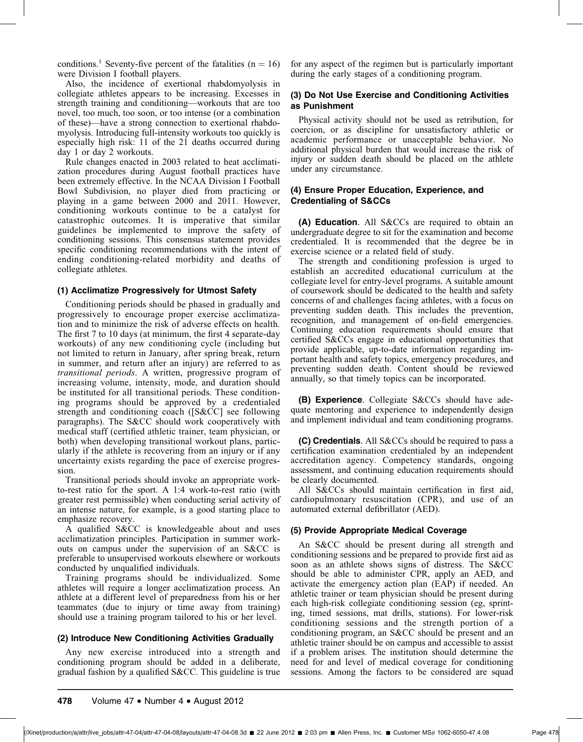conditions.<sup>1</sup> Seventy-five percent of the fatalities ( $n = 16$ ) were Division I football players.

Also, the incidence of exertional rhabdomyolysis in collegiate athletes appears to be increasing. Excesses in strength training and conditioning—workouts that are too novel, too much, too soon, or too intense (or a combination of these)—have a strong connection to exertional rhabdomyolysis. Introducing full-intensity workouts too quickly is especially high risk: 11 of the 21 deaths occurred during day 1 or day 2 workouts.

Rule changes enacted in 2003 related to heat acclimatization procedures during August football practices have been extremely effective. In the NCAA Division I Football Bowl Subdivision, no player died from practicing or playing in a game between 2000 and 2011. However, conditioning workouts continue to be a catalyst for catastrophic outcomes. It is imperative that similar guidelines be implemented to improve the safety of conditioning sessions. This consensus statement provides specific conditioning recommendations with the intent of ending conditioning-related morbidity and deaths of collegiate athletes.

## (1) Acclimatize Progressively for Utmost Safety

Conditioning periods should be phased in gradually and progressively to encourage proper exercise acclimatization and to minimize the risk of adverse effects on health. The first 7 to 10 days (at minimum, the first 4 separate-day workouts) of any new conditioning cycle (including but not limited to return in January, after spring break, return in summer, and return after an injury) are referred to as transitional periods. A written, progressive program of increasing volume, intensity, mode, and duration should be instituted for all transitional periods. These conditioning programs should be approved by a credentialed strength and conditioning coach ([S&CC] see following paragraphs). The S&CC should work cooperatively with medical staff (certified athletic trainer, team physician, or both) when developing transitional workout plans, particularly if the athlete is recovering from an injury or if any uncertainty exists regarding the pace of exercise progression.

Transitional periods should invoke an appropriate workto-rest ratio for the sport. A 1:4 work-to-rest ratio (with greater rest permissible) when conducting serial activity of an intense nature, for example, is a good starting place to emphasize recovery.

A qualified S&CC is knowledgeable about and uses acclimatization principles. Participation in summer workouts on campus under the supervision of an S&CC is preferable to unsupervised workouts elsewhere or workouts conducted by unqualified individuals.

Training programs should be individualized. Some athletes will require a longer acclimatization process. An athlete at a different level of preparedness from his or her teammates (due to injury or time away from training) should use a training program tailored to his or her level.

## (2) Introduce New Conditioning Activities Gradually

Any new exercise introduced into a strength and conditioning program should be added in a deliberate, gradual fashion by a qualified S&CC. This guideline is true for any aspect of the regimen but is particularly important during the early stages of a conditioning program.

## (3) Do Not Use Exercise and Conditioning Activities as Punishment

Physical activity should not be used as retribution, for coercion, or as discipline for unsatisfactory athletic or academic performance or unacceptable behavior. No additional physical burden that would increase the risk of injury or sudden death should be placed on the athlete under any circumstance.

## (4) Ensure Proper Education, Experience, and Credentialing of S&CCs

(A) Education. All S&CCs are required to obtain an undergraduate degree to sit for the examination and become credentialed. It is recommended that the degree be in exercise science or a related field of study.

The strength and conditioning profession is urged to establish an accredited educational curriculum at the collegiate level for entry-level programs. A suitable amount of coursework should be dedicated to the health and safety concerns of and challenges facing athletes, with a focus on preventing sudden death. This includes the prevention, recognition, and management of on-field emergencies. Continuing education requirements should ensure that certified S&CCs engage in educational opportunities that provide applicable, up-to-date information regarding important health and safety topics, emergency procedures, and preventing sudden death. Content should be reviewed annually, so that timely topics can be incorporated.

(B) Experience. Collegiate S&CCs should have adequate mentoring and experience to independently design and implement individual and team conditioning programs.

(C) Credentials. All S&CCs should be required to pass a certification examination credentialed by an independent accreditation agency. Competency standards, ongoing assessment, and continuing education requirements should be clearly documented.

All S&CCs should maintain certification in first aid, cardiopulmonary resuscitation (CPR), and use of an automated external defibrillator (AED).

## (5) Provide Appropriate Medical Coverage

An S&CC should be present during all strength and conditioning sessions and be prepared to provide first aid as soon as an athlete shows signs of distress. The S&CC should be able to administer CPR, apply an AED, and activate the emergency action plan (EAP) if needed. An athletic trainer or team physician should be present during each high-risk collegiate conditioning session (eg, sprinting, timed sessions, mat drills, stations). For lower-risk conditioning sessions and the strength portion of a conditioning program, an S&CC should be present and an athletic trainer should be on campus and accessible to assist if a problem arises. The institution should determine the need for and level of medical coverage for conditioning sessions. Among the factors to be considered are squad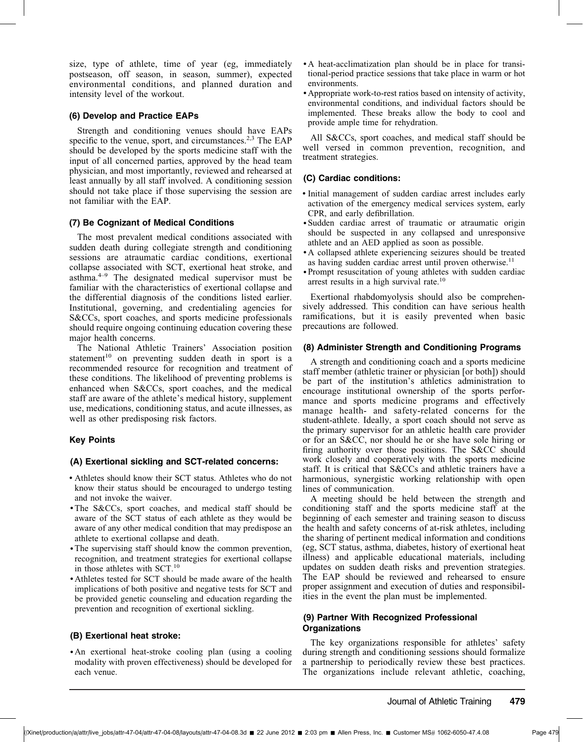size, type of athlete, time of year (eg, immediately postseason, off season, in season, summer), expected environmental conditions, and planned duration and intensity level of the workout.

## (6) Develop and Practice EAPs

Strength and conditioning venues should have EAPs specific to the venue, sport, and circumstances. $2,3$  The EAP should be developed by the sports medicine staff with the input of all concerned parties, approved by the head team physician, and most importantly, reviewed and rehearsed at least annually by all staff involved. A conditioning session should not take place if those supervising the session are not familiar with the EAP.

## (7) Be Cognizant of Medical Conditions

The most prevalent medical conditions associated with sudden death during collegiate strength and conditioning sessions are atraumatic cardiac conditions, exertional collapse associated with SCT, exertional heat stroke, and asthma.4–9 The designated medical supervisor must be familiar with the characteristics of exertional collapse and the differential diagnosis of the conditions listed earlier. Institutional, governing, and credentialing agencies for S&CCs, sport coaches, and sports medicine professionals should require ongoing continuing education covering these major health concerns.

The National Athletic Trainers' Association position statement<sup>10</sup> on preventing sudden death in sport is a recommended resource for recognition and treatment of these conditions. The likelihood of preventing problems is enhanced when S&CCs, sport coaches, and the medical staff are aware of the athlete's medical history, supplement use, medications, conditioning status, and acute illnesses, as well as other predisposing risk factors.

## Key Points

## (A) Exertional sickling and SCT-related concerns:

- Athletes should know their SCT status. Athletes who do not know their status should be encouraged to undergo testing and not invoke the waiver.
- -The S&CCs, sport coaches, and medical staff should be aware of the SCT status of each athlete as they would be aware of any other medical condition that may predispose an athlete to exertional collapse and death.
- -The supervising staff should know the common prevention, recognition, and treatment strategies for exertional collapse in those athletes with SCT.<sup>10</sup>
- Athletes tested for SCT should be made aware of the health implications of both positive and negative tests for SCT and be provided genetic counseling and education regarding the prevention and recognition of exertional sickling.

## (B) Exertional heat stroke:

- An exertional heat-stroke cooling plan (using a cooling modality with proven effectiveness) should be developed for each venue.

- A heat-acclimatization plan should be in place for transitional-period practice sessions that take place in warm or hot environments.
- Appropriate work-to-rest ratios based on intensity of activity, environmental conditions, and individual factors should be implemented. These breaks allow the body to cool and provide ample time for rehydration.

All S&CCs, sport coaches, and medical staff should be well versed in common prevention, recognition, and treatment strategies.

# (C) Cardiac conditions:

- Initial management of sudden cardiac arrest includes early activation of the emergency medical services system, early CPR, and early defibrillation.
- Sudden cardiac arrest of traumatic or atraumatic origin should be suspected in any collapsed and unresponsive athlete and an AED applied as soon as possible.
- A collapsed athlete experiencing seizures should be treated as having sudden cardiac arrest until proven otherwise.<sup>11</sup>
- Prompt resuscitation of young athletes with sudden cardiac arrest results in a high survival rate.<sup>10</sup>

Exertional rhabdomyolysis should also be comprehensively addressed. This condition can have serious health ramifications, but it is easily prevented when basic precautions are followed.

## (8) Administer Strength and Conditioning Programs

A strength and conditioning coach and a sports medicine staff member (athletic trainer or physician [or both]) should be part of the institution's athletics administration to encourage institutional ownership of the sports performance and sports medicine programs and effectively manage health- and safety-related concerns for the student-athlete. Ideally, a sport coach should not serve as the primary supervisor for an athletic health care provider or for an S&CC, nor should he or she have sole hiring or firing authority over those positions. The S&CC should work closely and cooperatively with the sports medicine staff. It is critical that S&CCs and athletic trainers have a harmonious, synergistic working relationship with open lines of communication.

A meeting should be held between the strength and conditioning staff and the sports medicine staff at the beginning of each semester and training season to discuss the health and safety concerns of at-risk athletes, including the sharing of pertinent medical information and conditions (eg, SCT status, asthma, diabetes, history of exertional heat illness) and applicable educational materials, including updates on sudden death risks and prevention strategies. The EAP should be reviewed and rehearsed to ensure proper assignment and execution of duties and responsibilities in the event the plan must be implemented.

## (9) Partner With Recognized Professional **Organizations**

The key organizations responsible for athletes' safety during strength and conditioning sessions should formalize a partnership to periodically review these best practices. The organizations include relevant athletic, coaching,